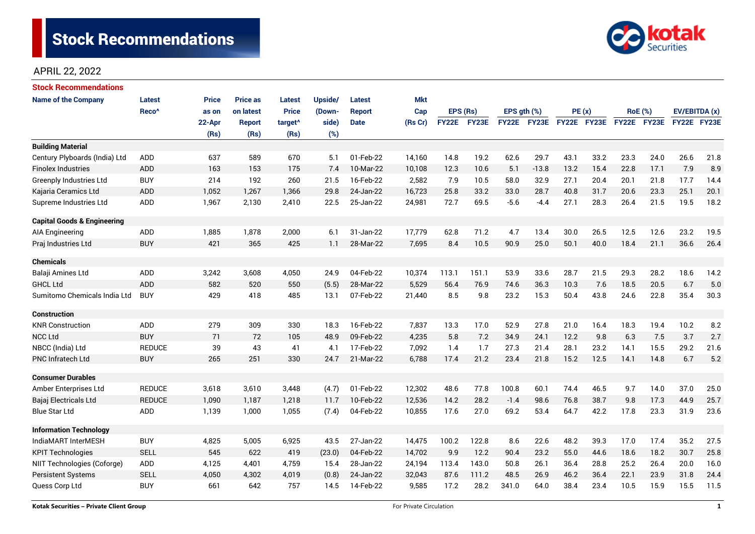

# APRIL 22, 2022

| <b>Stock Recommendations</b>           |                   |              |                 |                     |         |               |            |              |       |                  |         |             |      |                |             |               |      |
|----------------------------------------|-------------------|--------------|-----------------|---------------------|---------|---------------|------------|--------------|-------|------------------|---------|-------------|------|----------------|-------------|---------------|------|
| <b>Name of the Company</b>             | <b>Latest</b>     | <b>Price</b> | <b>Price as</b> | <b>Latest</b>       | Upside/ | <b>Latest</b> | <b>Mkt</b> |              |       |                  |         |             |      |                |             |               |      |
|                                        | Reco <sup>^</sup> | as on        | on latest       | <b>Price</b>        | (Down-  | <b>Report</b> | Cap        | EPS (Rs)     |       | EPS $gth$ $(\%)$ |         | PE(x)       |      | <b>RoE</b> (%) |             | EV/EBITDA (x) |      |
|                                        |                   | 22-Apr       | <b>Report</b>   | target <sup>^</sup> | side)   | <b>Date</b>   | (Rs Cr)    | <b>FY22E</b> | FY23E | FY22E            | FY23E   | FY22E FY23E |      |                | FY22E FY23E | FY22E FY23E   |      |
|                                        |                   | (Rs)         | (Rs)            | (Rs)                | (%)     |               |            |              |       |                  |         |             |      |                |             |               |      |
| <b>Building Material</b>               |                   |              |                 |                     |         |               |            |              |       |                  |         |             |      |                |             |               |      |
| Century Plyboards (India) Ltd          | <b>ADD</b>        | 637          | 589             | 670                 | 5.1     | 01-Feb-22     | 14,160     | 14.8         | 19.2  | 62.6             | 29.7    | 43.1        | 33.2 | 23.3           | 24.0        | 26.6          | 21.8 |
| <b>Finolex Industries</b>              | <b>ADD</b>        | 163          | 153             | 175                 | 7.4     | 10-Mar-22     | 10,108     | 12.3         | 10.6  | 5.1              | $-13.8$ | 13.2        | 15.4 | 22.8           | 17.1        | 7.9           | 8.9  |
| <b>Greenply Industries Ltd</b>         | <b>BUY</b>        | 214          | 192             | 260                 | 21.5    | 16-Feb-22     | 2,582      | 7.9          | 10.5  | 58.0             | 32.9    | 27.1        | 20.4 | 20.1           | 21.8        | 17.7          | 14.4 |
| Kajaria Ceramics Ltd                   | <b>ADD</b>        | 1,052        | 1,267           | 1,366               | 29.8    | 24-Jan-22     | 16,723     | 25.8         | 33.2  | 33.0             | 28.7    | 40.8        | 31.7 | 20.6           | 23.3        | 25.1          | 20.1 |
| Supreme Industries Ltd                 | <b>ADD</b>        | 1,967        | 2,130           | 2,410               | 22.5    | 25-Jan-22     | 24,981     | 72.7         | 69.5  | $-5.6$           | $-4.4$  | 27.1        | 28.3 | 26.4           | 21.5        | 19.5          | 18.2 |
| <b>Capital Goods &amp; Engineering</b> |                   |              |                 |                     |         |               |            |              |       |                  |         |             |      |                |             |               |      |
| AIA Engineering                        | <b>ADD</b>        | 1,885        | 1,878           | 2,000               | 6.1     | 31-Jan-22     | 17,779     | 62.8         | 71.2  | 4.7              | 13.4    | 30.0        | 26.5 | 12.5           | 12.6        | 23.2          | 19.5 |
| Praj Industries Ltd                    | <b>BUY</b>        | 421          | 365             | 425                 | 1.1     | 28-Mar-22     | 7,695      | 8.4          | 10.5  | 90.9             | 25.0    | 50.1        | 40.0 | 18.4           | 21.1        | 36.6          | 26.4 |
| <b>Chemicals</b>                       |                   |              |                 |                     |         |               |            |              |       |                  |         |             |      |                |             |               |      |
| Balaji Amines Ltd                      | ADD               | 3,242        | 3,608           | 4,050               | 24.9    | 04-Feb-22     | 10,374     | 113.1        | 151.1 | 53.9             | 33.6    | 28.7        | 21.5 | 29.3           | 28.2        | 18.6          | 14.2 |
| <b>GHCL Ltd</b>                        | <b>ADD</b>        | 582          | 520             | 550                 | (5.5)   | 28-Mar-22     | 5,529      | 56.4         | 76.9  | 74.6             | 36.3    | 10.3        | 7.6  | 18.5           | 20.5        | 6.7           | 5.0  |
| Sumitomo Chemicals India Ltd           | <b>BUY</b>        | 429          | 418             | 485                 | 13.1    | 07-Feb-22     | 21,440     | 8.5          | 9.8   | 23.2             | 15.3    | 50.4        | 43.8 | 24.6           | 22.8        | 35.4          | 30.3 |
| <b>Construction</b>                    |                   |              |                 |                     |         |               |            |              |       |                  |         |             |      |                |             |               |      |
| <b>KNR Construction</b>                | ADD               | 279          | 309             | 330                 | 18.3    | 16-Feb-22     | 7,837      | 13.3         | 17.0  | 52.9             | 27.8    | 21.0        | 16.4 | 18.3           | 19.4        | 10.2          | 8.2  |
| <b>NCC Ltd</b>                         | <b>BUY</b>        | 71           | 72              | 105                 | 48.9    | 09-Feb-22     | 4,235      | 5.8          | 7.2   | 34.9             | 24.1    | 12.2        | 9.8  | 6.3            | 7.5         | 3.7           | 2.7  |
| NBCC (India) Ltd                       | <b>REDUCE</b>     | 39           | 43              | 41                  | 4.1     | 17-Feb-22     | 7,092      | 1.4          | 1.7   | 27.3             | 21.4    | 28.1        | 23.2 | 14.1           | 15.5        | 29.2          | 21.6 |
| PNC Infratech Ltd                      | <b>BUY</b>        | 265          | 251             | 330                 | 24.7    | 21-Mar-22     | 6,788      | 17.4         | 21.2  | 23.4             | 21.8    | 15.2        | 12.5 | 14.1           | 14.8        | 6.7           | 5.2  |
| <b>Consumer Durables</b>               |                   |              |                 |                     |         |               |            |              |       |                  |         |             |      |                |             |               |      |
| Amber Enterprises Ltd                  | <b>REDUCE</b>     | 3,618        | 3,610           | 3,448               | (4.7)   | 01-Feb-22     | 12,302     | 48.6         | 77.8  | 100.8            | 60.1    | 74.4        | 46.5 | 9.7            | 14.0        | 37.0          | 25.0 |
| Bajaj Electricals Ltd                  | <b>REDUCE</b>     | 1,090        | 1,187           | 1,218               | 11.7    | 10-Feb-22     | 12,536     | 14.2         | 28.2  | $-1.4$           | 98.6    | 76.8        | 38.7 | 9.8            | 17.3        | 44.9          | 25.7 |
| <b>Blue Star Ltd</b>                   | <b>ADD</b>        | 1,139        | 1,000           | 1,055               | (7.4)   | 04-Feb-22     | 10,855     | 17.6         | 27.0  | 69.2             | 53.4    | 64.7        | 42.2 | 17.8           | 23.3        | 31.9          | 23.6 |
| <b>Information Technology</b>          |                   |              |                 |                     |         |               |            |              |       |                  |         |             |      |                |             |               |      |
| IndiaMART InterMESH                    | <b>BUY</b>        | 4,825        | 5,005           | 6,925               | 43.5    | 27-Jan-22     | 14,475     | 100.2        | 122.8 | 8.6              | 22.6    | 48.2        | 39.3 | 17.0           | 17.4        | 35.2          | 27.5 |
| <b>KPIT Technologies</b>               | <b>SELL</b>       | 545          | 622             | 419                 | (23.0)  | 04-Feb-22     | 14,702     | 9.9          | 12.2  | 90.4             | 23.2    | 55.0        | 44.6 | 18.6           | 18.2        | 30.7          | 25.8 |
| NIIT Technologies (Coforge)            | ADD               | 4,125        | 4,401           | 4,759               | 15.4    | 28-Jan-22     | 24,194     | 113.4        | 143.0 | 50.8             | 26.1    | 36.4        | 28.8 | 25.2           | 26.4        | 20.0          | 16.0 |
| <b>Persistent Systems</b>              | <b>SELL</b>       | 4,050        | 4,302           | 4,019               | (0.8)   | 24-Jan-22     | 32,043     | 87.6         | 111.2 | 48.5             | 26.9    | 46.2        | 36.4 | 22.1           | 23.9        | 31.8          | 24.4 |
| Quess Corp Ltd                         | <b>BUY</b>        | 661          | 642             | 757                 | 14.5    | 14-Feb-22     | 9,585      | 17.2         | 28.2  | 341.0            | 64.0    | 38.4        | 23.4 | 10.5           | 15.9        | 15.5          | 11.5 |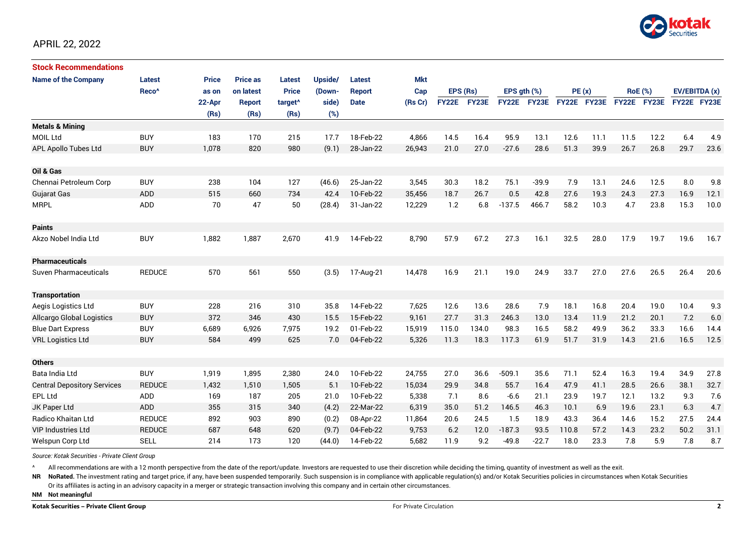

| <b>Stock Recommendations</b>       |                   |              |                 |                     |         |               |            |              |       |              |              |             |      |                |             |               |      |
|------------------------------------|-------------------|--------------|-----------------|---------------------|---------|---------------|------------|--------------|-------|--------------|--------------|-------------|------|----------------|-------------|---------------|------|
| <b>Name of the Company</b>         | <b>Latest</b>     | <b>Price</b> | <b>Price as</b> | <b>Latest</b>       | Upside/ | Latest        | <b>Mkt</b> |              |       |              |              |             |      |                |             |               |      |
|                                    | Reco <sup>^</sup> | as on        | on latest       | <b>Price</b>        | (Down-  | <b>Report</b> | Cap        | EPS (Rs)     |       | EPS ath (%)  |              | PE(x)       |      | <b>RoE</b> (%) |             | EV/EBITDA (x) |      |
|                                    |                   | 22-Apr       | <b>Report</b>   | target <sup>^</sup> | side)   | <b>Date</b>   | (Rs Cr)    | <b>FY22E</b> | FY23E | <b>FY22E</b> | <b>FY23E</b> | FY22E FY23E |      |                | FY22E FY23E | FY22E FY23E   |      |
|                                    |                   | (Rs)         | (Rs)            | (Rs)                | (%)     |               |            |              |       |              |              |             |      |                |             |               |      |
| <b>Metals &amp; Mining</b>         |                   |              |                 |                     |         |               |            |              |       |              |              |             |      |                |             |               |      |
| <b>MOIL Ltd</b>                    | <b>BUY</b>        | 183          | 170             | 215                 | 17.7    | 18-Feb-22     | 4,866      | 14.5         | 16.4  | 95.9         | 13.1         | 12.6        | 11.1 | 11.5           | 12.2        | 6.4           | 4.9  |
| APL Apollo Tubes Ltd               | <b>BUY</b>        | 1,078        | 820             | 980                 | (9.1)   | 28-Jan-22     | 26,943     | 21.0         | 27.0  | $-27.6$      | 28.6         | 51.3        | 39.9 | 26.7           | 26.8        | 29.7          | 23.6 |
| Oil & Gas                          |                   |              |                 |                     |         |               |            |              |       |              |              |             |      |                |             |               |      |
| Chennai Petroleum Corp             | <b>BUY</b>        | 238          | 104             | 127                 | (46.6)  | 25-Jan-22     | 3,545      | 30.3         | 18.2  | 75.1         | $-39.9$      | 7.9         | 13.1 | 24.6           | 12.5        | 8.0           | 9.8  |
| <b>Gujarat Gas</b>                 | <b>ADD</b>        | 515          | 660             | 734                 | 42.4    | 10-Feb-22     | 35,456     | 18.7         | 26.7  | 0.5          | 42.8         | 27.6        | 19.3 | 24.3           | 27.3        | 16.9          | 12.1 |
| <b>MRPL</b>                        | ADD               | 70           | 47              | 50                  | (28.4)  | 31-Jan-22     | 12,229     | 1.2          | 6.8   | $-137.5$     | 466.7        | 58.2        | 10.3 | 4.7            | 23.8        | 15.3          | 10.0 |
| <b>Paints</b>                      |                   |              |                 |                     |         |               |            |              |       |              |              |             |      |                |             |               |      |
| Akzo Nobel India Ltd               | <b>BUY</b>        | 1,882        | 1,887           | 2,670               | 41.9    | 14-Feb-22     | 8,790      | 57.9         | 67.2  | 27.3         | 16.1         | 32.5        | 28.0 | 17.9           | 19.7        | 19.6          | 16.7 |
| <b>Pharmaceuticals</b>             |                   |              |                 |                     |         |               |            |              |       |              |              |             |      |                |             |               |      |
| Suven Pharmaceuticals              | <b>REDUCE</b>     | 570          | 561             | 550                 | (3.5)   | 17-Aug-21     | 14,478     | 16.9         | 21.1  | 19.0         | 24.9         | 33.7        | 27.0 | 27.6           | 26.5        | 26.4          | 20.6 |
| <b>Transportation</b>              |                   |              |                 |                     |         |               |            |              |       |              |              |             |      |                |             |               |      |
| Aegis Logistics Ltd                | <b>BUY</b>        | 228          | 216             | 310                 | 35.8    | 14-Feb-22     | 7,625      | 12.6         | 13.6  | 28.6         | 7.9          | 18.1        | 16.8 | 20.4           | 19.0        | 10.4          | 9.3  |
| Allcargo Global Logistics          | <b>BUY</b>        | 372          | 346             | 430                 | 15.5    | 15-Feb-22     | 9,161      | 27.7         | 31.3  | 246.3        | 13.0         | 13.4        | 11.9 | 21.2           | 20.1        | 7.2           | 6.0  |
| <b>Blue Dart Express</b>           | <b>BUY</b>        | 6,689        | 6,926           | 7,975               | 19.2    | 01-Feb-22     | 15,919     | 115.0        | 134.0 | 98.3         | 16.5         | 58.2        | 49.9 | 36.2           | 33.3        | 16.6          | 14.4 |
| <b>VRL Logistics Ltd</b>           | <b>BUY</b>        | 584          | 499             | 625                 | 7.0     | 04-Feb-22     | 5,326      | 11.3         | 18.3  | 117.3        | 61.9         | 51.7        | 31.9 | 14.3           | 21.6        | 16.5          | 12.5 |
| <b>Others</b>                      |                   |              |                 |                     |         |               |            |              |       |              |              |             |      |                |             |               |      |
| Bata India Ltd                     | <b>BUY</b>        | 1,919        | 1,895           | 2,380               | 24.0    | 10-Feb-22     | 24,755     | 27.0         | 36.6  | $-509.1$     | 35.6         | 71.1        | 52.4 | 16.3           | 19.4        | 34.9          | 27.8 |
| <b>Central Depository Services</b> | <b>REDUCE</b>     | 1,432        | 1,510           | 1,505               | 5.1     | 10-Feb-22     | 15,034     | 29.9         | 34.8  | 55.7         | 16.4         | 47.9        | 41.1 | 28.5           | 26.6        | 38.1          | 32.7 |
| EPL Ltd                            | ADD               | 169          | 187             | 205                 | 21.0    | 10-Feb-22     | 5,338      | 7.1          | 8.6   | $-6.6$       | 21.1         | 23.9        | 19.7 | 12.1           | 13.2        | 9.3           | 7.6  |
| JK Paper Ltd                       | ADD               | 355          | 315             | 340                 | (4.2)   | 22-Mar-22     | 6,319      | 35.0         | 51.2  | 146.5        | 46.3         | 10.1        | 6.9  | 19.6           | 23.1        | 6.3           | 4.7  |
| Radico Khaitan Ltd                 | <b>REDUCE</b>     | 892          | 903             | 890                 | (0.2)   | 08-Apr-22     | 11,864     | 20.6         | 24.5  | 1.5          | 18.9         | 43.3        | 36.4 | 14.6           | 15.2        | 27.5          | 24.4 |
| <b>VIP Industries Ltd</b>          | <b>REDUCE</b>     | 687          | 648             | 620                 | (9.7)   | 04-Feb-22     | 9,753      | 6.2          | 12.0  | $-187.3$     | 93.5         | 110.8       | 57.2 | 14.3           | 23.2        | 50.2          | 31.1 |
| Welspun Corp Ltd                   | <b>SELL</b>       | 214          | 173             | 120                 | (44.0)  | 14-Feb-22     | 5.682      | 11.9         | 9.2   | $-49.8$      | $-22.7$      | 18.0        | 23.3 | 7.8            | 5.9         | 7.8           | 8.7  |

*Source: Kotak Securities - Private Client Group*

All recommendations are with a 12 month perspective from the date of the report/update. Investors are requested to use their discretion while deciding the timing, quantity of investment as well as the exit.

NR NoRated. The investment rating and target price, if any, have been suspended temporarily. Such suspension is in compliance with applicable regulation(s) and/or Kotak Securities policies in circumstances when Kotak Secur

Or its affiliates is acting in an advisory capacity in a merger or strategic transaction involving this company and in certain other circumstances.

**NM Not meaningful**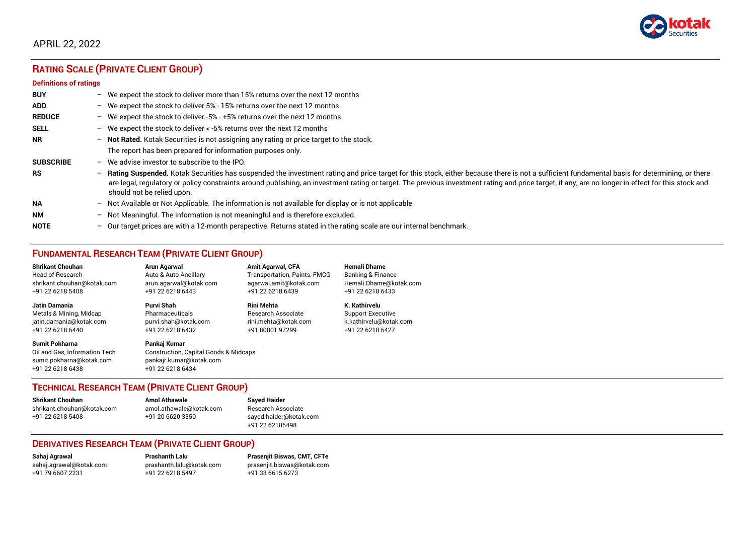

# APRIL 22, 2022

# **RATING SCALE (PRIVATE CLIENT GROUP)**

#### **Definitions of ratings**

| <b>BUY</b>       |   | - We expect the stock to deliver more than 15% returns over the next 12 months                                                                                                                                                                                                                                                                                                                                                     |
|------------------|---|------------------------------------------------------------------------------------------------------------------------------------------------------------------------------------------------------------------------------------------------------------------------------------------------------------------------------------------------------------------------------------------------------------------------------------|
| <b>ADD</b>       |   | - We expect the stock to deliver 5% - 15% returns over the next 12 months                                                                                                                                                                                                                                                                                                                                                          |
| <b>REDUCE</b>    |   | - We expect the stock to deliver -5% - +5% returns over the next 12 months                                                                                                                                                                                                                                                                                                                                                         |
| <b>SELL</b>      |   | - We expect the stock to deliver $\lt$ -5% returns over the next 12 months                                                                                                                                                                                                                                                                                                                                                         |
| <b>NR</b>        |   | - Not Rated. Kotak Securities is not assigning any rating or price target to the stock.                                                                                                                                                                                                                                                                                                                                            |
|                  |   | The report has been prepared for information purposes only.                                                                                                                                                                                                                                                                                                                                                                        |
| <b>SUBSCRIBE</b> |   | $-$ We advise investor to subscribe to the IPO.                                                                                                                                                                                                                                                                                                                                                                                    |
| <b>RS</b>        |   | - Rating Suspended. Kotak Securities has suspended the investment rating and price target for this stock, either because there is not a sufficient fundamental basis for determining, or there<br>are legal, regulatory or policy constraints around publishing, an investment rating or target. The previous investment rating and price target, if any, are no longer in effect for this stock and<br>should not be relied upon. |
| <b>NA</b>        |   | $-$ Not Available or Not Applicable. The information is not available for display or is not applicable                                                                                                                                                                                                                                                                                                                             |
| <b>NM</b>        |   | - Not Meaningful. The information is not meaningful and is therefore excluded.                                                                                                                                                                                                                                                                                                                                                     |
| <b>NOTE</b>      | - | Our target prices are with a 12-month perspective. Returns stated in the rating scale are our internal benchmark.                                                                                                                                                                                                                                                                                                                  |

# **FUNDAMENTAL RESEARCH TEAM (PRIVATE CLIENT GROUP)**

| <b>Shrikant Chouhan</b>                                                                                | Arun Agarwal                                                                                                    | <b>Amit Agarwal, CFA</b>            | <b>Hemali Dhame</b>      |
|--------------------------------------------------------------------------------------------------------|-----------------------------------------------------------------------------------------------------------------|-------------------------------------|--------------------------|
| <b>Head of Research</b>                                                                                | Auto & Auto Ancillary                                                                                           | <b>Transportation, Paints, FMCG</b> | Banking & Finance        |
| shrikant.chouhan@kotak.com                                                                             | arun.agarwal@kotak.com                                                                                          | agarwal.amit@kotak.com              | Hemali.Dhame@kotak.com   |
| +91 22 6218 5408                                                                                       | +91 22 6218 6443                                                                                                | +91 22 6218 6439                    | +91 22 6218 6433         |
| <b>Jatin Damania</b>                                                                                   | Purvi Shah                                                                                                      | <b>Rini Mehta</b>                   | K. Kathirvelu            |
| Metals & Mining, Midcap                                                                                | Pharmaceuticals                                                                                                 | Research Associate                  | <b>Support Executive</b> |
| jatin.damania@kotak.com                                                                                | purvi.shah@kotak.com                                                                                            | rini.mehta@kotak.com                | k.kathirvelu@kotak.com   |
| +91 22 6218 6440                                                                                       | +91 22 6218 6432                                                                                                | +91 80801 97299                     | +91 22 6218 6427         |
| <b>Sumit Pokharna</b><br>Oil and Gas. Information Tech<br>sumit.pokharna@kotak.com<br>+91 22 6218 6438 | Pankaj Kumar<br><b>Construction, Capital Goods &amp; Midcaps</b><br>pankajr.kumar@kotak.com<br>+91 22 6218 6434 |                                     |                          |

### **TECHNICAL RESEARCH TEAM (PRIVATE CLIENT GROUP)**

| <b>Shrikant Chouhan</b>    | <b>Amol Athawale</b>    |   |
|----------------------------|-------------------------|---|
| shrikant.chouhan@kotak.com | amol.athawale@kotak.com | F |
| +91 22 6218 5408           | +91 20 6620 3350        | S |
|                            |                         |   |

**Shrikant Chouhan Amol Athawale Sayed Haider** Research Associate [sayed.haider@kotak.com](mailto:sayed.haider@kotak.com) +91 22 62185498

### **DERIVATIVES RESEARCH TEAM (PRIVATE CLIENT GROUP)**

+91 22 6218 5497 +91 33 6615 6273

**Sahaj Agrawal Prashanth Lalu Prasenjit Biswas, CMT, CFTe** [sahaj.agrawal@kotak.com](mailto:sahaj.agrawal@kotak.com) [prashanth.lalu@kotak.com](mailto:prashanth.lalu@kotak.com) [prasenjit.biswas@kotak.com](mailto:prasenjit.biswas@kotak.com)